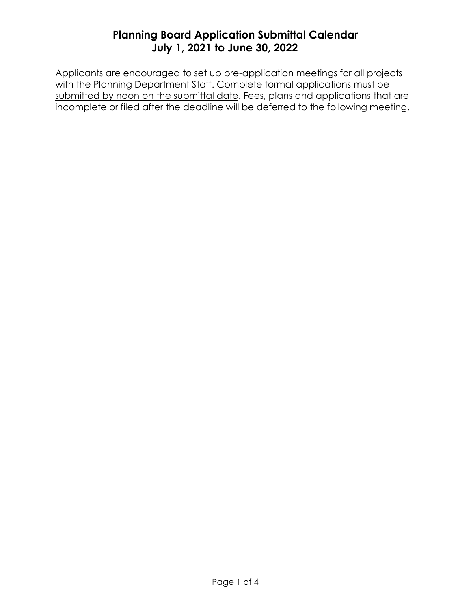## **Planning Board Application Submittal Calendar July 1, 2021 to June 30, 2022**

Applicants are encouraged to set up pre-application meetings for all projects with the Planning Department Staff. Complete formal applications must be submitted by noon on the submittal date. Fees, plans and applications that are incomplete or filed after the deadline will be deferred to the following meeting.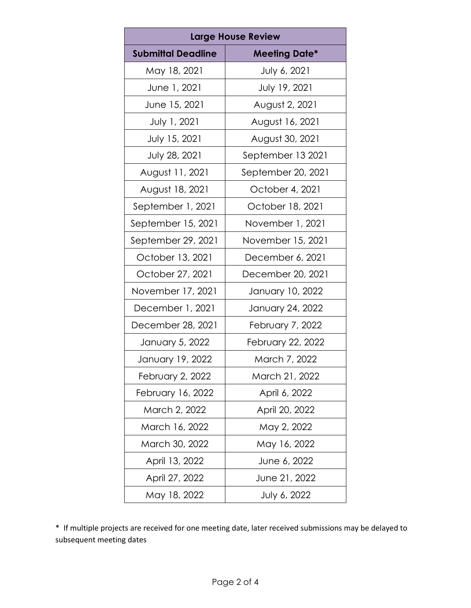| <b>Large House Review</b> |                      |  |
|---------------------------|----------------------|--|
| <b>Submittal Deadline</b> | <b>Meeting Date*</b> |  |
| May 18, 2021              | July 6, 2021         |  |
| June 1, 2021              | July 19, 2021        |  |
| June 15, 2021             | August 2, 2021       |  |
| July 1, 2021              | August 16, 2021      |  |
| July 15, 2021             | August 30, 2021      |  |
| July 28, 2021             | September 13 2021    |  |
| August 11, 2021           | September 20, 2021   |  |
| August 18, 2021           | October 4, 2021      |  |
| September 1, 2021         | October 18, 2021     |  |
| September 15, 2021        | November 1, 2021     |  |
| September 29, 2021        | November 15, 2021    |  |
| October 13, 2021          | December 6, 2021     |  |
| October 27, 2021          | December 20, 2021    |  |
| November 17, 2021         | January 10, 2022     |  |
| December 1, 2021          | January 24, 2022     |  |
| December 28, 2021         | February 7, 2022     |  |
| January 5, 2022           | February 22, 2022    |  |
| January 19, 2022          | March 7, 2022        |  |
| February 2, 2022          | March 21, 2022       |  |
| February 16, 2022         | April 6, 2022        |  |
| March 2, 2022             | April 20, 2022       |  |
| March 16, 2022            | May 2, 2022          |  |
| March 30, 2022            | May 16, 2022         |  |
| April 13, 2022            | June 6, 2022         |  |
| April 27, 2022            | June 21, 2022        |  |
| May 18, 2022              | July 6, 2022         |  |

\* If multiple projects are received for one meeting date, later received submissions may be delayed to subsequent meeting dates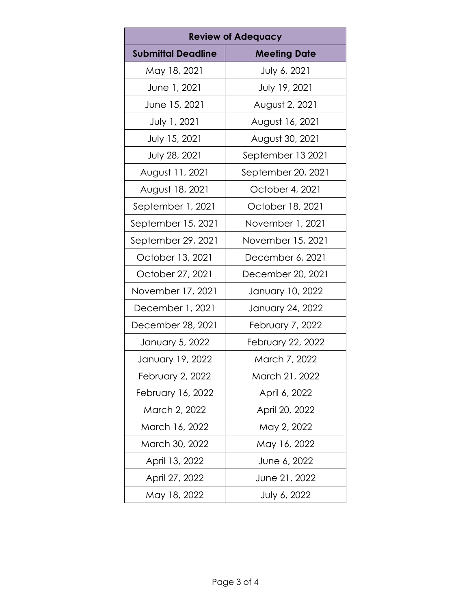| <b>Review of Adequacy</b> |                     |  |
|---------------------------|---------------------|--|
| <b>Submittal Deadline</b> | <b>Meeting Date</b> |  |
| May 18, 2021              | July 6, 2021        |  |
| June 1, 2021              | July 19, 2021       |  |
| June 15, 2021             | August 2, 2021      |  |
| July 1, 2021              | August 16, 2021     |  |
| July 15, 2021             | August 30, 2021     |  |
| July 28, 2021             | September 13 2021   |  |
| August 11, 2021           | September 20, 2021  |  |
| August 18, 2021           | October 4, 2021     |  |
| September 1, 2021         | October 18, 2021    |  |
| September 15, 2021        | November 1, 2021    |  |
| September 29, 2021        | November 15, 2021   |  |
| October 13, 2021          | December 6, 2021    |  |
| October 27, 2021          | December 20, 2021   |  |
| November 17, 2021         | January 10, 2022    |  |
| December 1, 2021          | January 24, 2022    |  |
| December 28, 2021         | February 7, 2022    |  |
| January 5, 2022           | February 22, 2022   |  |
| January 19, 2022          | March 7, 2022       |  |
| February 2, 2022          | March 21, 2022      |  |
| February 16, 2022         | April 6, 2022       |  |
| March 2, 2022             | April 20, 2022      |  |
| March 16, 2022            | May 2, 2022         |  |
| March 30, 2022            | May 16, 2022        |  |
| April 13, 2022            | June 6, 2022        |  |
| April 27, 2022            | June 21, 2022       |  |
| May 18, 2022              | July 6, 2022        |  |